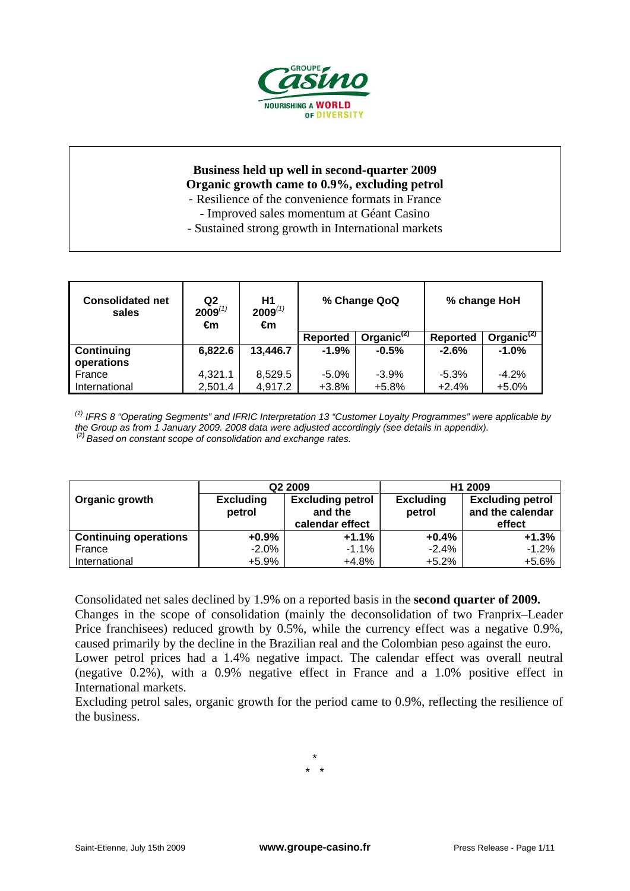

## **Business held up well in second-quarter 2009 Organic growth came to 0.9%, excluding petrol**  - Resilience of the convenience formats in France

- 
- Improved sales momentum at Géant Casino
- Sustained strong growth in International markets

| <b>Consolidated net</b><br>sales | Q2<br>$2009^{(1)}$<br>€m | H1<br>$2009^{(1)}$<br>€m | % Change QoQ<br>Organic $(2)$<br><b>Reported</b> |         |          | % change HoH           |
|----------------------------------|--------------------------|--------------------------|--------------------------------------------------|---------|----------|------------------------|
|                                  |                          |                          |                                                  |         | Reported | Organic <sup>(2)</sup> |
| Continuing                       | 6,822.6                  | 13,446.7                 | $-1.9%$                                          | $-0.5%$ | $-2.6%$  | $-1.0%$                |
| operations                       |                          |                          |                                                  |         |          |                        |
| France                           | 4,321.1                  | 8,529.5                  | $-5.0%$                                          | $-3.9%$ | $-5.3%$  | $-4.2%$                |
| International                    | 2,501.4                  | 4,917.2                  | $+3.8%$                                          | $+5.8%$ | $+2.4%$  | $+5.0%$                |

*(1) IFRS 8 "Operating Segments" and IFRIC Interpretation 13 "Customer Loyalty Programmes" were applicable by the Group as from 1 January 2009. 2008 data were adjusted accordingly (see details in appendix). (2) Based on constant scope of consolidation and exchange rates.* 

|                              |                                                                  | Q2 2009         | H1 2009                    |                                             |  |
|------------------------------|------------------------------------------------------------------|-----------------|----------------------------|---------------------------------------------|--|
| Organic growth               | <b>Excluding petrol</b><br><b>Excluding</b><br>petrol<br>and the |                 | <b>Excluding</b><br>petrol | <b>Excluding petrol</b><br>and the calendar |  |
|                              |                                                                  | calendar effect |                            | effect                                      |  |
| <b>Continuing operations</b> | $+0.9%$                                                          | $+1.1%$         | $+0.4%$                    | $+1.3%$                                     |  |
| France                       | $-2.0%$                                                          | $-1.1\%$        | $-2.4%$                    | $-1.2%$                                     |  |
| International                | +5.9%                                                            | +4.8%           | $+5.2%$                    | $+5.6%$                                     |  |

Consolidated net sales declined by 1.9% on a reported basis in the **second quarter of 2009.** Changes in the scope of consolidation (mainly the deconsolidation of two Franprix–Leader Price franchisees) reduced growth by 0.5%, while the currency effect was a negative 0.9%, caused primarily by the decline in the Brazilian real and the Colombian peso against the euro. Lower petrol prices had a 1.4% negative impact. The calendar effect was overall neutral (negative 0.2%), with a 0.9% negative effect in France and a 1.0% positive effect in International markets.

Excluding petrol sales, organic growth for the period came to 0.9%, reflecting the resilience of the business.

> \* \* \*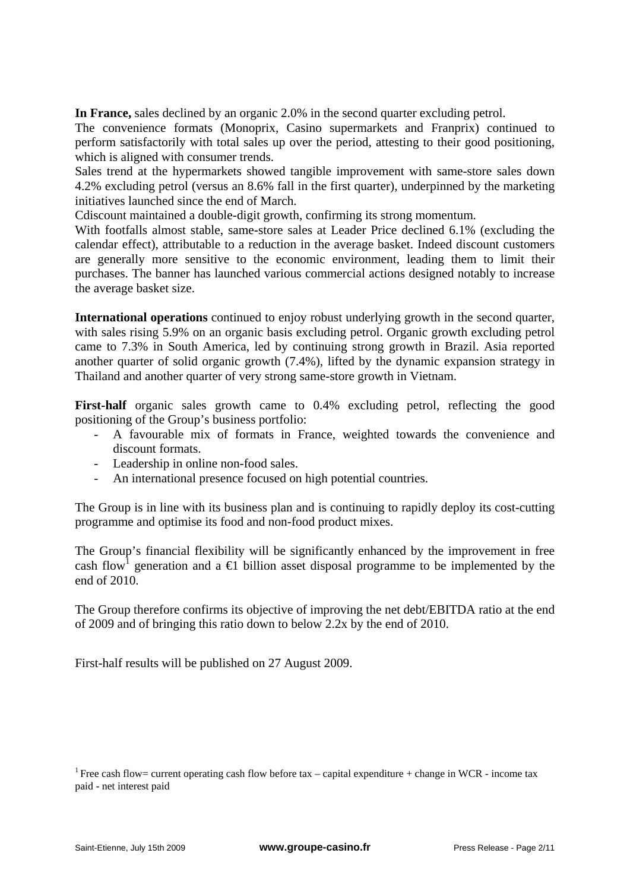**In France,** sales declined by an organic 2.0% in the second quarter excluding petrol.

The convenience formats (Monoprix, Casino supermarkets and Franprix) continued to perform satisfactorily with total sales up over the period, attesting to their good positioning, which is aligned with consumer trends.

Sales trend at the hypermarkets showed tangible improvement with same-store sales down 4.2% excluding petrol (versus an 8.6% fall in the first quarter), underpinned by the marketing initiatives launched since the end of March.

Cdiscount maintained a double-digit growth, confirming its strong momentum.

With footfalls almost stable, same-store sales at Leader Price declined 6.1% (excluding the calendar effect), attributable to a reduction in the average basket. Indeed discount customers are generally more sensitive to the economic environment, leading them to limit their purchases. The banner has launched various commercial actions designed notably to increase the average basket size.

**International operations** continued to enjoy robust underlying growth in the second quarter, with sales rising 5.9% on an organic basis excluding petrol. Organic growth excluding petrol came to 7.3% in South America, led by continuing strong growth in Brazil. Asia reported another quarter of solid organic growth (7.4%), lifted by the dynamic expansion strategy in Thailand and another quarter of very strong same-store growth in Vietnam.

First-half organic sales growth came to 0.4% excluding petrol, reflecting the good positioning of the Group's business portfolio:

- A favourable mix of formats in France, weighted towards the convenience and discount formats.
- Leadership in online non-food sales.
- An international presence focused on high potential countries.

The Group is in line with its business plan and is continuing to rapidly deploy its cost-cutting programme and optimise its food and non-food product mixes.

The Group's financial flexibility will be significantly enhanced by the improvement in free cash flow<sup>1</sup> generation and a  $\oplus$  billion asset disposal programme to be implemented by the end of 2010.

The Group therefore confirms its objective of improving the net debt/EBITDA ratio at the end of 2009 and of bringing this ratio down to below 2.2x by the end of 2010.

First-half results will be published on 27 August 2009.

<sup>&</sup>lt;sup>1</sup> Free cash flow= current operating cash flow before tax – capital expenditure + change in WCR - income tax paid - net interest paid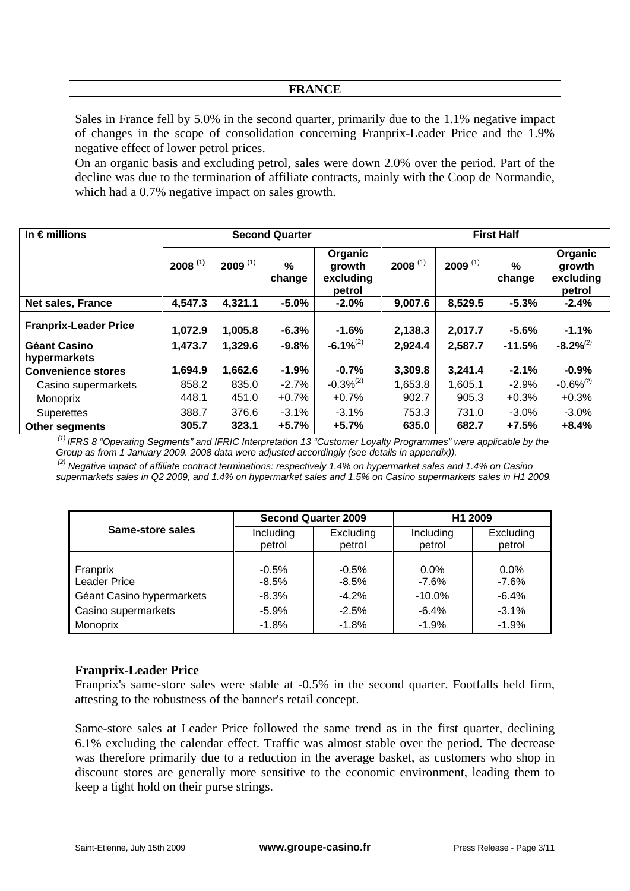### **FRANCE**

Sales in France fell by 5.0% in the second quarter, primarily due to the 1.1% negative impact of changes in the scope of consolidation concerning Franprix-Leader Price and the 1.9% negative effect of lower petrol prices.

On an organic basis and excluding petrol, sales were down 2.0% over the period. Part of the decline was due to the termination of affiliate contracts, mainly with the Coop de Normandie, which had a 0.7% negative impact on sales growth.

| In $\epsilon$ millions              |              |                       | <b>Second Quarter</b>   |                                          | <b>First Half</b>     |                       |                         |                                          |
|-------------------------------------|--------------|-----------------------|-------------------------|------------------------------------------|-----------------------|-----------------------|-------------------------|------------------------------------------|
|                                     | $2008^{(1)}$ | $2009$ <sup>(1)</sup> | $\frac{0}{0}$<br>change | Organic<br>growth<br>excluding<br>petrol | $2008$ <sup>(1)</sup> | $2009$ <sup>(1)</sup> | $\frac{0}{0}$<br>change | Organic<br>growth<br>excluding<br>petrol |
| <b>Net sales, France</b>            | 4,547.3      | 4,321.1               | $-5.0%$                 | $-2.0%$                                  | 9,007.6               | 8,529.5               | $-5.3%$                 | $-2.4%$                                  |
| <b>Franprix-Leader Price</b>        | 1,072.9      | 1,005.8               | $-6.3%$                 | $-1.6%$                                  | 2,138.3               | 2,017.7               | $-5.6%$                 | $-1.1%$                                  |
| <b>Géant Casino</b><br>hypermarkets | 1,473.7      | 1,329.6               | $-9.8%$                 | $-6.1\%^{(2)}$                           | 2,924.4               | 2,587.7               | $-11.5%$                | $-8.2\%^{(2)}$                           |
| <b>Convenience stores</b>           | 1,694.9      | 1,662.6               | $-1.9%$                 | $-0.7%$                                  | 3,309.8               | 3,241.4               | $-2.1%$                 | $-0.9%$                                  |
| Casino supermarkets                 | 858.2        | 835.0                 | $-2.7%$                 | $-0.3%^{(2)}$                            | 1,653.8               | 1,605.1               | $-2.9%$                 | $-0.6\%^{(2)}$                           |
| Monoprix                            | 448.1        | 451.0                 | $+0.7%$                 | $+0.7%$                                  | 902.7                 | 905.3                 | $+0.3%$                 | $+0.3%$                                  |
| <b>Superettes</b>                   | 388.7        | 376.6                 | $-3.1\%$                | $-3.1%$                                  | 753.3                 | 731.0                 | $-3.0%$                 | $-3.0%$                                  |
| <b>Other segments</b>               | 305.7        | 323.1                 | $+5.7%$                 | $+5.7%$                                  | 635.0                 | 682.7                 | $+7.5%$                 | $+8.4%$                                  |

 *(1) IFRS 8 "Operating Segments" and IFRIC Interpretation 13 "Customer Loyalty Programmes" were applicable by the Group as from 1 January 2009. 2008 data were adjusted accordingly (see details in appendix)).* 

 *(2) Negative impact of affiliate contract terminations: respectively 1.4% on hypermarket sales and 1.4% on Casino supermarkets sales in Q2 2009, and 1.4% on hypermarket sales and 1.5% on Casino supermarkets sales in H1 2009.* 

|                           |                     | <b>Second Quarter 2009</b> | H1 2009             |                     |  |
|---------------------------|---------------------|----------------------------|---------------------|---------------------|--|
| Same-store sales          | Including<br>petrol | Excluding<br>petrol        | Including<br>petrol | Excluding<br>petrol |  |
|                           |                     |                            |                     |                     |  |
| Franprix                  | $-0.5%$             | $-0.5%$                    | $0.0\%$             | $0.0\%$             |  |
| <b>Leader Price</b>       | $-8.5%$             | $-8.5%$                    | $-7.6%$             | $-7.6%$             |  |
| Géant Casino hypermarkets | $-8.3%$             | $-4.2%$                    | $-10.0%$            | $-6.4%$             |  |
| Casino supermarkets       | $-5.9%$             | $-2.5%$                    | $-6.4%$             | $-3.1%$             |  |
| Monoprix                  | $-1.8%$             | $-1.8%$                    | $-1.9%$             | $-1.9%$             |  |

#### **Franprix-Leader Price**

Franprix's same-store sales were stable at -0.5% in the second quarter. Footfalls held firm, attesting to the robustness of the banner's retail concept.

Same-store sales at Leader Price followed the same trend as in the first quarter, declining 6.1% excluding the calendar effect. Traffic was almost stable over the period. The decrease was therefore primarily due to a reduction in the average basket, as customers who shop in discount stores are generally more sensitive to the economic environment, leading them to keep a tight hold on their purse strings.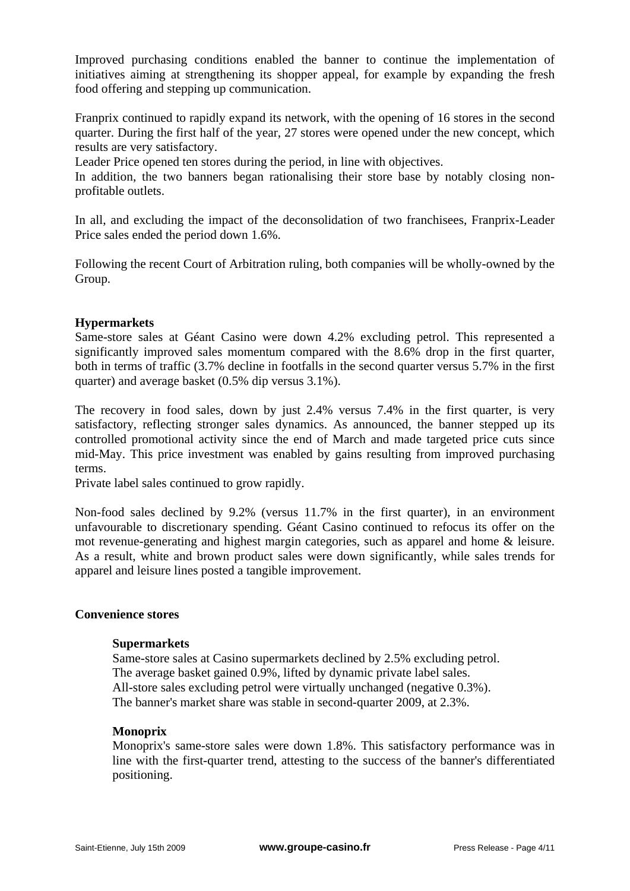Improved purchasing conditions enabled the banner to continue the implementation of initiatives aiming at strengthening its shopper appeal, for example by expanding the fresh food offering and stepping up communication.

Franprix continued to rapidly expand its network, with the opening of 16 stores in the second quarter. During the first half of the year, 27 stores were opened under the new concept, which results are very satisfactory.

Leader Price opened ten stores during the period, in line with objectives.

In addition, the two banners began rationalising their store base by notably closing nonprofitable outlets.

In all, and excluding the impact of the deconsolidation of two franchisees, Franprix-Leader Price sales ended the period down 1.6%.

Following the recent Court of Arbitration ruling, both companies will be wholly-owned by the Group.

## **Hypermarkets**

Same-store sales at Géant Casino were down 4.2% excluding petrol. This represented a significantly improved sales momentum compared with the 8.6% drop in the first quarter, both in terms of traffic (3.7% decline in footfalls in the second quarter versus 5.7% in the first quarter) and average basket (0.5% dip versus 3.1%).

The recovery in food sales, down by just 2.4% versus 7.4% in the first quarter, is very satisfactory, reflecting stronger sales dynamics. As announced, the banner stepped up its controlled promotional activity since the end of March and made targeted price cuts since mid-May. This price investment was enabled by gains resulting from improved purchasing terms.

Private label sales continued to grow rapidly.

Non-food sales declined by 9.2% (versus 11.7% in the first quarter), in an environment unfavourable to discretionary spending. Géant Casino continued to refocus its offer on the mot revenue-generating and highest margin categories, such as apparel and home & leisure. As a result, white and brown product sales were down significantly, while sales trends for apparel and leisure lines posted a tangible improvement.

#### **Convenience stores**

#### **Supermarkets**

Same-store sales at Casino supermarkets declined by 2.5% excluding petrol. The average basket gained 0.9%, lifted by dynamic private label sales. All-store sales excluding petrol were virtually unchanged (negative 0.3%). The banner's market share was stable in second-quarter 2009, at 2.3%.

#### **Monoprix**

Monoprix's same-store sales were down 1.8%. This satisfactory performance was in line with the first-quarter trend, attesting to the success of the banner's differentiated positioning.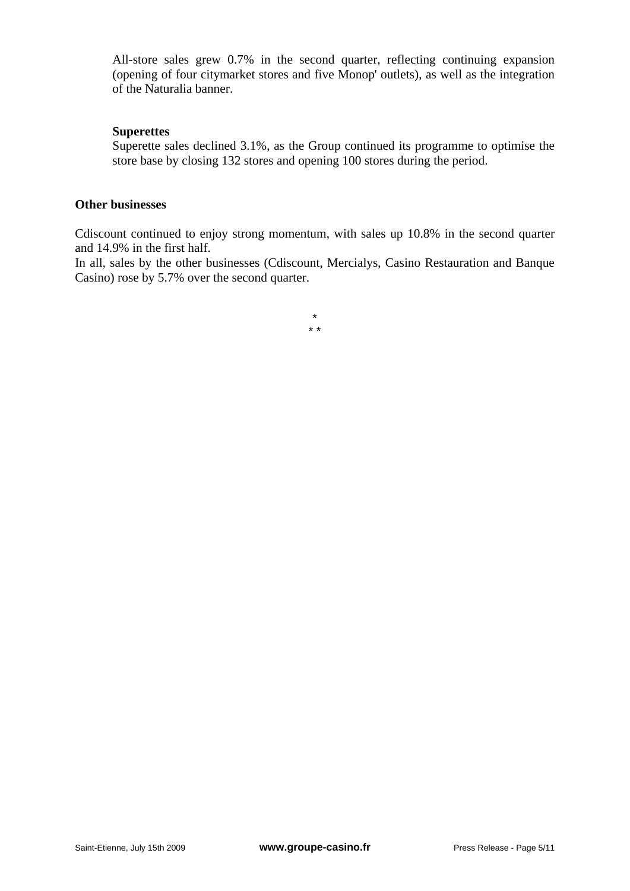All-store sales grew 0.7% in the second quarter, reflecting continuing expansion (opening of four citymarket stores and five Monop' outlets), as well as the integration of the Naturalia banner.

## **Superettes**

Superette sales declined 3.1%, as the Group continued its programme to optimise the store base by closing 132 stores and opening 100 stores during the period.

# **Other businesses**

Cdiscount continued to enjoy strong momentum, with sales up 10.8% in the second quarter and 14.9% in the first half.

In all, sales by the other businesses (Cdiscount, Mercialys, Casino Restauration and Banque Casino) rose by 5.7% over the second quarter.

> \* \* \*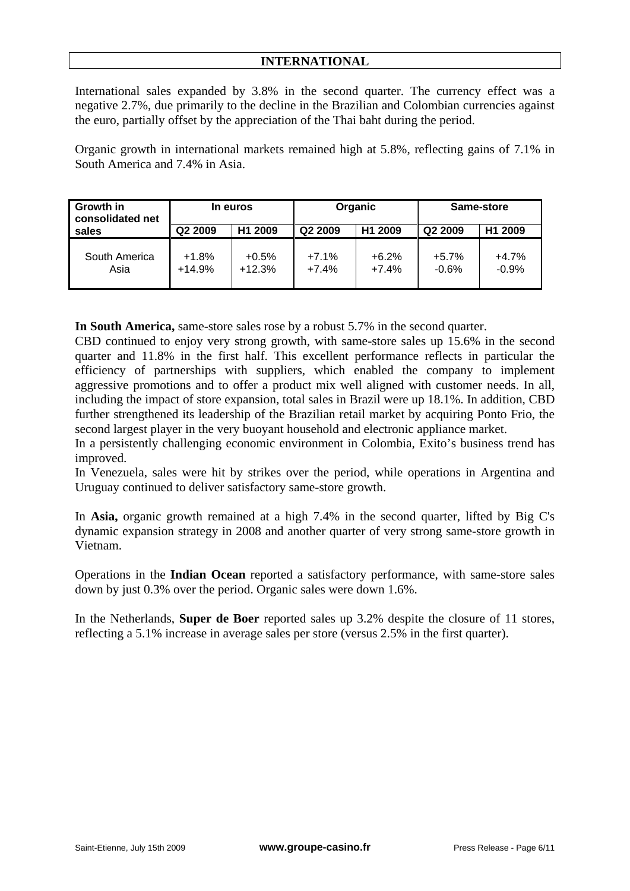# **INTERNATIONAL**

International sales expanded by 3.8% in the second quarter. The currency effect was a negative 2.7%, due primarily to the decline in the Brazilian and Colombian currencies against the euro, partially offset by the appreciation of the Thai baht during the period.

Organic growth in international markets remained high at 5.8%, reflecting gains of 7.1% in South America and 7.4% in Asia.

| Growth in<br>consolidated net | In euros            |                     | Organic             |                     | Same-store          |                     |
|-------------------------------|---------------------|---------------------|---------------------|---------------------|---------------------|---------------------|
| sales                         | Q2 2009             | H <sub>1</sub> 2009 | Q <sub>2</sub> 2009 | H <sub>1</sub> 2009 | Q <sub>2</sub> 2009 | H <sub>1</sub> 2009 |
| South America<br>Asia         | $+1.8%$<br>$+14.9%$ | $+0.5%$<br>$+12.3%$ | $+7.1%$<br>$+7.4%$  | $+6.2%$<br>$+7.4%$  | $+5.7%$<br>$-0.6%$  | $+4.7%$<br>$-0.9%$  |

**In South America,** same-store sales rose by a robust 5.7% in the second quarter.

CBD continued to enjoy very strong growth, with same-store sales up 15.6% in the second quarter and 11.8% in the first half. This excellent performance reflects in particular the efficiency of partnerships with suppliers, which enabled the company to implement aggressive promotions and to offer a product mix well aligned with customer needs. In all, including the impact of store expansion, total sales in Brazil were up 18.1%. In addition, CBD further strengthened its leadership of the Brazilian retail market by acquiring Ponto Frio, the second largest player in the very buoyant household and electronic appliance market.

In a persistently challenging economic environment in Colombia, Exito's business trend has improved.

In Venezuela, sales were hit by strikes over the period, while operations in Argentina and Uruguay continued to deliver satisfactory same-store growth.

In **Asia,** organic growth remained at a high 7.4% in the second quarter, lifted by Big C's dynamic expansion strategy in 2008 and another quarter of very strong same-store growth in Vietnam.

Operations in the **Indian Ocean** reported a satisfactory performance, with same-store sales down by just 0.3% over the period. Organic sales were down 1.6%.

In the Netherlands, **Super de Boer** reported sales up 3.2% despite the closure of 11 stores, reflecting a 5.1% increase in average sales per store (versus 2.5% in the first quarter).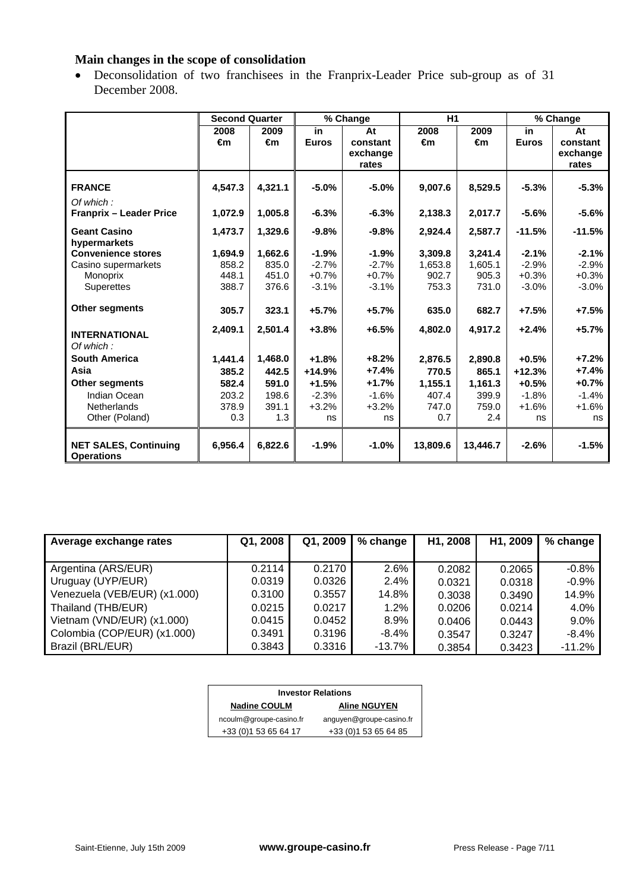# **Main changes in the scope of consolidation**

• Deconsolidation of two franchisees in the Franprix-Leader Price sub-group as of 31 December 2008.

|                                                   | <b>Second Quarter</b> |         |              | % Change | H1       |          |              | % Change |
|---------------------------------------------------|-----------------------|---------|--------------|----------|----------|----------|--------------|----------|
|                                                   | 2008                  | 2009    | in.          | At       | 2008     | 2009     | in           | At       |
|                                                   | €m                    | €m      | <b>Euros</b> | constant | €m       | €m       | <b>Euros</b> | constant |
|                                                   |                       |         |              | exchange |          |          |              | exchange |
|                                                   |                       |         |              | rates    |          |          |              | rates    |
| <b>FRANCE</b>                                     | 4,547.3               | 4,321.1 | $-5.0%$      | $-5.0%$  | 9,007.6  | 8,529.5  | $-5.3%$      | $-5.3%$  |
| Of which:                                         |                       |         |              |          |          |          |              |          |
| <b>Franprix - Leader Price</b>                    | 1,072.9               | 1,005.8 | $-6.3%$      | $-6.3%$  | 2,138.3  | 2,017.7  | $-5.6%$      | $-5.6%$  |
| <b>Geant Casino</b>                               | 1,473.7               | 1,329.6 | $-9.8%$      | $-9.8%$  | 2,924.4  | 2,587.7  | $-11.5%$     | $-11.5%$ |
| hypermarkets                                      |                       |         |              |          |          |          |              |          |
| <b>Convenience stores</b>                         | 1,694.9               | 1,662.6 | $-1.9%$      | $-1.9%$  | 3,309.8  | 3,241.4  | $-2.1%$      | $-2.1%$  |
| Casino supermarkets                               | 858.2                 | 835.0   | $-2.7%$      | $-2.7%$  | 1,653.8  | 1,605.1  | $-2.9%$      | $-2.9%$  |
| Monoprix                                          | 448.1                 | 451.0   | $+0.7%$      | $+0.7%$  | 902.7    | 905.3    | $+0.3%$      | $+0.3%$  |
| <b>Superettes</b>                                 | 388.7                 | 376.6   | $-3.1%$      | $-3.1%$  | 753.3    | 731.0    | $-3.0%$      | $-3.0%$  |
| <b>Other segments</b>                             | 305.7                 | 323.1   | $+5.7%$      | $+5.7%$  | 635.0    | 682.7    | $+7.5%$      | $+7.5%$  |
| <b>INTERNATIONAL</b>                              | 2,409.1               | 2,501.4 | $+3.8%$      | $+6.5%$  | 4,802.0  | 4,917.2  | $+2.4%$      | $+5.7%$  |
| Of which:                                         |                       |         |              |          |          |          |              |          |
| <b>South America</b>                              | 1,441.4               | 1,468.0 | $+1.8%$      | $+8.2%$  | 2,876.5  | 2,890.8  | $+0.5%$      | $+7.2%$  |
| Asia                                              | 385.2                 | 442.5   | $+14.9%$     | $+7.4%$  | 770.5    | 865.1    | $+12.3%$     | $+7.4%$  |
| Other segments                                    | 582.4                 | 591.0   | $+1.5%$      | $+1.7%$  | 1,155.1  | 1,161.3  | $+0.5%$      | $+0.7%$  |
| Indian Ocean                                      | 203.2                 | 198.6   | $-2.3%$      | $-1.6%$  | 407.4    | 399.9    | $-1.8%$      | $-1.4%$  |
| Netherlands                                       | 378.9                 | 391.1   | $+3.2%$      | $+3.2%$  | 747.0    | 759.0    | $+1.6%$      | $+1.6%$  |
| Other (Poland)                                    | 0.3                   | 1.3     | ns           | ns       | 0.7      | 2.4      | ns           | ns       |
| <b>NET SALES, Continuing</b><br><b>Operations</b> | 6,956.4               | 6,822.6 | $-1.9%$      | $-1.0%$  | 13,809.6 | 13,446.7 | $-2.6%$      | $-1.5%$  |

| Average exchange rates       | Q1, 2008 | Q1, 2009 | % change | H1, 2008 | H1, 2009 | % change |
|------------------------------|----------|----------|----------|----------|----------|----------|
|                              |          |          |          |          |          |          |
| Argentina (ARS/EUR)          | 0.2114   | 0.2170   | 2.6%     | 0.2082   | 0.2065   | $-0.8%$  |
| Uruguay (UYP/EUR)            | 0.0319   | 0.0326   | 2.4%     | 0.0321   | 0.0318   | $-0.9%$  |
| Venezuela (VEB/EUR) (x1.000) | 0.3100   | 0.3557   | 14.8%    | 0.3038   | 0.3490   | 14.9%    |
| Thailand (THB/EUR)           | 0.0215   | 0.0217   | 1.2%     | 0.0206   | 0.0214   | 4.0%     |
| Vietnam (VND/EUR) (x1.000)   | 0.0415   | 0.0452   | 8.9%     | 0.0406   | 0.0443   | 9.0%     |
| Colombia (COP/EUR) (x1.000)  | 0.3491   | 0.3196   | $-8.4\%$ | 0.3547   | 0.3247   | $-8.4%$  |
| Brazil (BRL/EUR)             | 0.3843   | 0.3316   | -13.7%   | 0.3854   | 0.3423   | $-11.2%$ |

| <b>Investor Relations</b> |                          |  |  |  |  |  |
|---------------------------|--------------------------|--|--|--|--|--|
| <b>Nadine COULM</b>       | <b>Aline NGUYEN</b>      |  |  |  |  |  |
| ncoulm@groupe-casino.fr   | anguyen@groupe-casino.fr |  |  |  |  |  |
| +33 (0) 1 53 65 64 17     | +33 (0) 1 53 65 64 85    |  |  |  |  |  |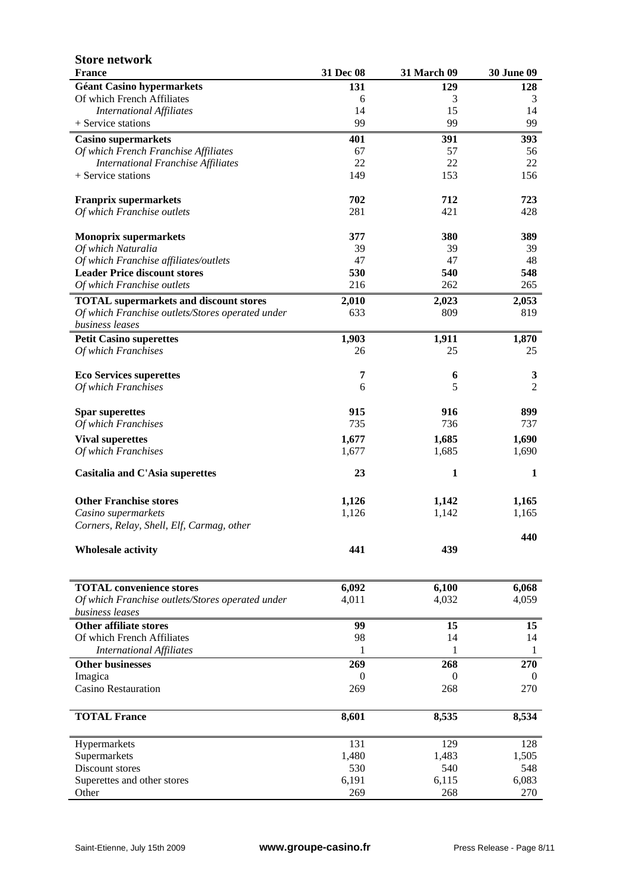| <b>Store network</b>                                                |           |              |                   |
|---------------------------------------------------------------------|-----------|--------------|-------------------|
| <b>France</b>                                                       | 31 Dec 08 | 31 March 09  | <b>30 June 09</b> |
| <b>Géant Casino hypermarkets</b>                                    | 131       | 129          | 128               |
| Of which French Affiliates                                          | 6         | 3            | 3                 |
| <b>International Affiliates</b>                                     | 14        | 15           | 14                |
| + Service stations                                                  | 99        | 99           | 99                |
| <b>Casino supermarkets</b>                                          | 401       | 391          | 393               |
| Of which French Franchise Affiliates                                | 67        | 57           | 56                |
| <b>International Franchise Affiliates</b>                           | 22        | 22           | 22                |
| + Service stations                                                  | 149       | 153          | 156               |
| <b>Franprix supermarkets</b>                                        | 702       | 712          | 723               |
| Of which Franchise outlets                                          | 281       | 421          | 428               |
| <b>Monoprix supermarkets</b>                                        | 377       | 380          | 389               |
| Of which Naturalia                                                  | 39        | 39           | 39                |
| Of which Franchise affiliates/outlets                               | 47        | 47           | 48                |
| <b>Leader Price discount stores</b>                                 | 530       | 540          | 548               |
| Of which Franchise outlets                                          | 216       | 262          | 265               |
| <b>TOTAL</b> supermarkets and discount stores                       | 2,010     | 2,023        | 2,053             |
| Of which Franchise outlets/Stores operated under<br>business leases | 633       | 809          | 819               |
| <b>Petit Casino superettes</b>                                      | 1,903     | 1,911        | 1,870             |
| Of which Franchises                                                 | 26        | 25           | 25                |
|                                                                     |           |              |                   |
| <b>Eco Services superettes</b>                                      | 7         | 6            | 3                 |
| Of which Franchises                                                 | 6         | 5            | $\overline{2}$    |
| <b>Spar superettes</b>                                              | 915       | 916          | 899               |
| Of which Franchises                                                 | 735       | 736          | 737               |
| <b>Vival superettes</b>                                             | 1,677     | 1,685        | 1,690             |
| Of which Franchises                                                 | 1,677     | 1,685        | 1,690             |
| Casitalia and C'Asia superettes                                     | 23        | $\mathbf{1}$ | 1                 |
| <b>Other Franchise stores</b>                                       | 1,126     | 1,142        | 1,165             |
| Casino supermarkets                                                 | 1,126     | 1,142        | 1,165             |
| Corners, Relay, Shell, Elf, Carmag, other                           |           |              |                   |
| <b>Wholesale activity</b>                                           | 441       | 439          | 440               |
|                                                                     |           |              |                   |
| <b>TOTAL</b> convenience stores                                     | 6,092     | 6,100        | 6,068             |
| Of which Franchise outlets/Stores operated under                    | 4,011     | 4,032        | 4,059             |
| business leases                                                     |           |              |                   |
| <b>Other affiliate stores</b>                                       | 99        | 15           | 15                |
| Of which French Affiliates                                          | 98        | 14           | 14                |
| <b>International Affiliates</b>                                     | 1         | 1            | 1                 |
| <b>Other businesses</b>                                             | 269       | 268          | 270               |
| Imagica                                                             | $\theta$  | $\mathbf{0}$ | $\theta$          |
| Casino Restauration                                                 | 269       | 268          | 270               |
| <b>TOTAL France</b>                                                 | 8,601     | 8,535        | 8,534             |
| Hypermarkets                                                        | 131       | 129          | 128               |
| Supermarkets                                                        | 1,480     | 1,483        | 1,505             |
| Discount stores                                                     | 530       | 540          | 548               |
| Superettes and other stores                                         | 6,191     | 6,115        | 6,083             |
| Other                                                               | 269       | 268          | 270               |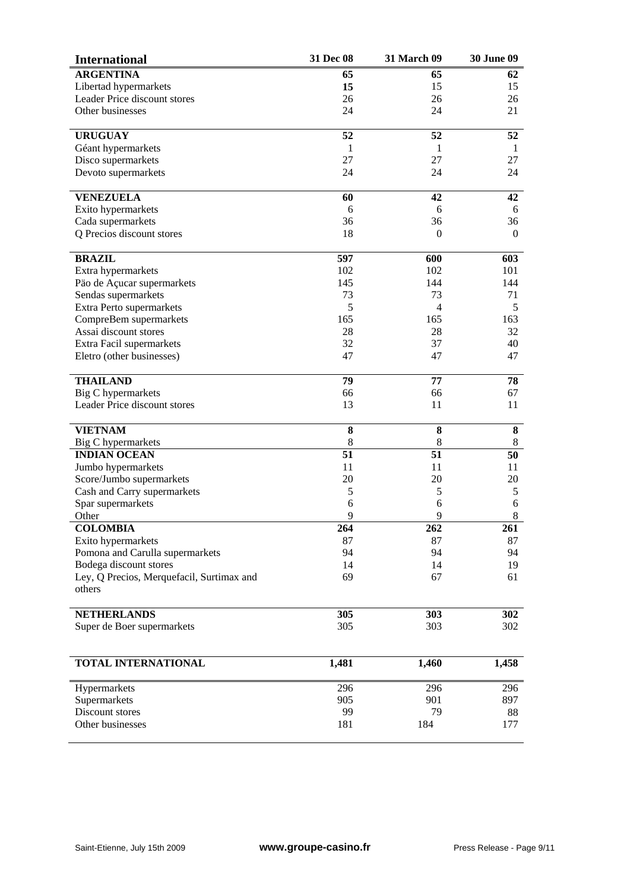| <b>International</b>                      | 31 Dec 08 | <b>31 March 09</b> | <b>30 June 09</b> |
|-------------------------------------------|-----------|--------------------|-------------------|
| <b>ARGENTINA</b>                          | 65        | 65                 | 62                |
| Libertad hypermarkets                     | 15        | 15                 | 15                |
| Leader Price discount stores              | 26        | 26                 | 26                |
| Other businesses                          | 24        | 24                 | 21                |
|                                           |           |                    |                   |
| <b>URUGUAY</b>                            | 52        | 52                 | 52                |
| Géant hypermarkets                        | -1        | 1                  | 1                 |
| Disco supermarkets                        | 27        | 27                 | 27                |
| Devoto supermarkets                       | 24        | 24                 | 24                |
| <b>VENEZUELA</b>                          | 60        | 42                 | 42                |
| Exito hypermarkets                        | 6         | 6                  | 6                 |
| Cada supermarkets                         | 36        | 36                 | 36                |
| Q Precios discount stores                 | 18        | $\Omega$           | $\Omega$          |
| <b>BRAZIL</b>                             | 597       | 600                | 603               |
| Extra hypermarkets                        | 102       | 102                | 101               |
| Päo de Açucar supermarkets                | 145       | 144                | 144               |
| Sendas supermarkets                       | 73        | 73                 | 71                |
| Extra Perto supermarkets                  | 5         | 4                  | 5                 |
| CompreBem supermarkets                    | 165       | 165                | 163               |
| Assai discount stores                     | 28        | 28                 | 32                |
| Extra Facil supermarkets                  | 32        | 37                 | 40                |
| Eletro (other businesses)                 | 47        | 47                 | 47                |
| <b>THAILAND</b>                           | 79        | 77                 | 78                |
| <b>Big C</b> hypermarkets                 | 66        | 66                 | 67                |
| Leader Price discount stores              | 13        | 11                 | 11                |
| <b>VIETNAM</b>                            | 8         | 8                  | 8                 |
| Big C hypermarkets                        | 8         | $8\,$              | 8                 |
| <b>INDIAN OCEAN</b>                       | 51        | 51                 | 50                |
| Jumbo hypermarkets                        | 11        | 11                 | 11                |
| Score/Jumbo supermarkets                  | 20        | 20                 | 20                |
| Cash and Carry supermarkets               | 5         | 5                  | 5                 |
| Spar supermarkets                         | 6         | 6                  | 6                 |
| Other                                     | 9         | 9                  | 8                 |
| <b>COLOMBIA</b>                           | 264       | 262                | 261               |
| Exito hypermarkets                        | 87        | 87                 | 87                |
| Pomona and Carulla supermarkets           | 94        | 94                 | 94                |
| Bodega discount stores                    | 14        | 14                 | 19                |
| Ley, Q Precios, Merquefacil, Surtimax and | 69        | 67                 | 61                |
| others                                    |           |                    |                   |
| <b>NETHERLANDS</b>                        | 305       | 303                | 302               |
| Super de Boer supermarkets                | 305       | 303                | 302               |
|                                           |           |                    |                   |
| TOTAL INTERNATIONAL                       | 1,481     | 1,460              | 1,458             |
| Hypermarkets                              | 296       | 296                | 296               |
| Supermarkets                              | 905       | 901                | 897               |
| Discount stores                           | 99        | 79                 | 88                |
| Other businesses                          | 181       | 184                | 177               |
|                                           |           |                    |                   |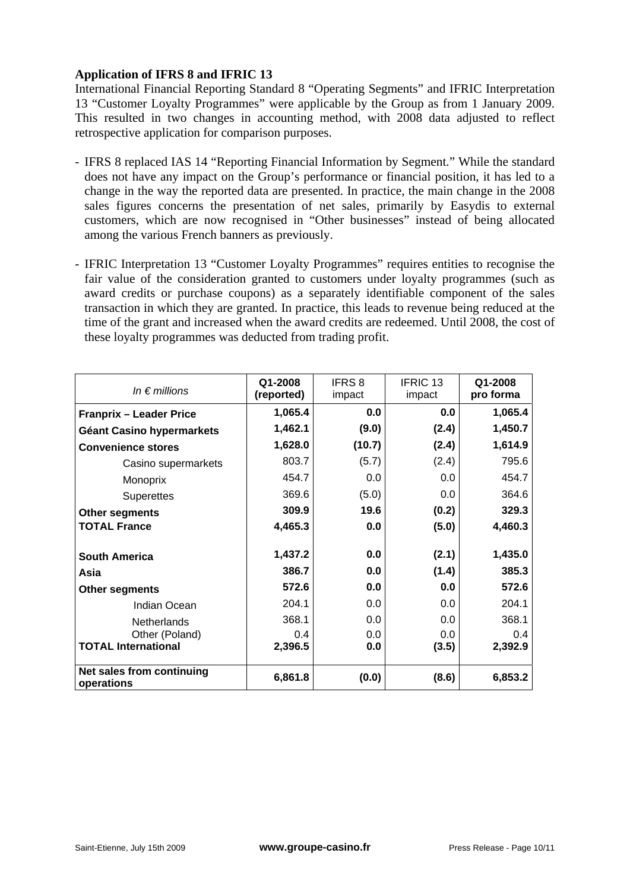# **Application of IFRS 8 and IFRIC 13**

International Financial Reporting Standard 8 "Operating Segments" and IFRIC Interpretation 13 "Customer Loyalty Programmes" were applicable by the Group as from 1 January 2009. This resulted in two changes in accounting method, with 2008 data adjusted to reflect retrospective application for comparison purposes.

- IFRS 8 replaced IAS 14 "Reporting Financial Information by Segment." While the standard does not have any impact on the Group's performance or financial position, it has led to a change in the way the reported data are presented. In practice, the main change in the 2008 sales figures concerns the presentation of net sales, primarily by Easydis to external customers, which are now recognised in "Other businesses" instead of being allocated among the various French banners as previously.
- IFRIC Interpretation 13 "Customer Loyalty Programmes" requires entities to recognise the fair value of the consideration granted to customers under loyalty programmes (such as award credits or purchase coupons) as a separately identifiable component of the sales transaction in which they are granted. In practice, this leads to revenue being reduced at the time of the grant and increased when the award credits are redeemed. Until 2008, the cost of these loyalty programmes was deducted from trading profit.

| In $\epsilon$ millions                  | Q1-2008<br>(reported) | <b>IFRS 8</b><br>impact | IFRIC <sub>13</sub><br>impact | Q1-2008<br>pro forma |
|-----------------------------------------|-----------------------|-------------------------|-------------------------------|----------------------|
| <b>Franprix - Leader Price</b>          | 1,065.4               | 0.0                     | 0.0                           | 1,065.4              |
| Géant Casino hypermarkets               | 1,462.1               | (9.0)                   | (2.4)                         | 1,450.7              |
| <b>Convenience stores</b>               | 1,628.0               | (10.7)                  | (2.4)                         | 1,614.9              |
| Casino supermarkets                     | 803.7                 | (5.7)                   | (2.4)                         | 795.6                |
| Monoprix                                | 454.7                 | 0.0                     | 0.0                           | 454.7                |
| <b>Superettes</b>                       | 369.6                 | (5.0)                   | 0.0                           | 364.6                |
| <b>Other segments</b>                   | 309.9                 | 19.6                    | (0.2)                         | 329.3                |
| <b>TOTAL France</b>                     | 4,465.3               | 0.0                     | (5.0)                         | 4,460.3              |
| <b>South America</b>                    | 1,437.2               | 0.0                     | (2.1)                         | 1,435.0              |
| Asia                                    | 386.7                 | 0.0                     | (1.4)                         | 385.3                |
| Other segments                          | 572.6                 | 0.0                     | 0.0                           | 572.6                |
| Indian Ocean                            | 204.1                 | 0.0                     | 0.0                           | 204.1                |
| Netherlands                             | 368.1                 | 0.0                     | 0.0                           | 368.1                |
| Other (Poland)                          | 0.4                   | 0.0                     | 0.0                           | 0.4                  |
| <b>TOTAL International</b>              | 2,396.5               | 0.0                     | (3.5)                         | 2,392.9              |
| Net sales from continuing<br>operations | 6,861.8               | (0.0)                   | (8.6)                         | 6,853.2              |